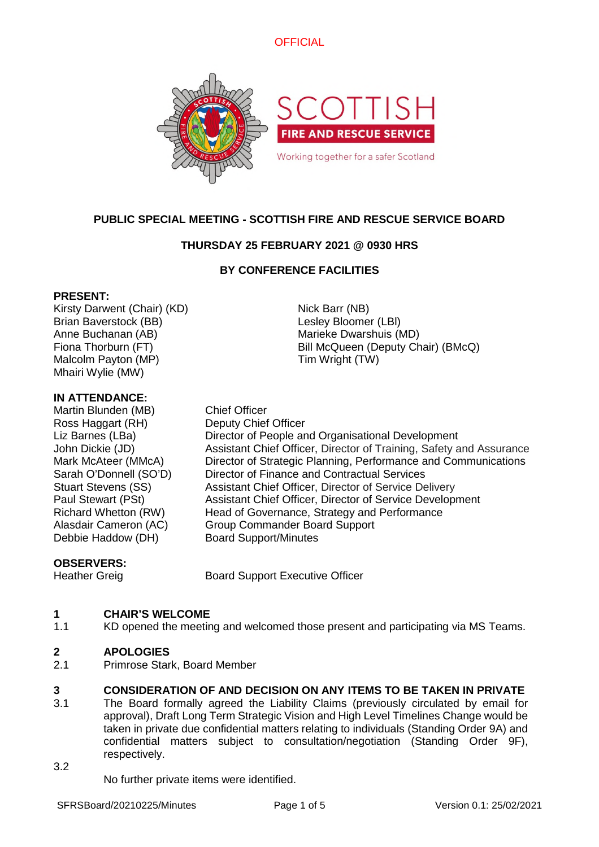



# **PUBLIC SPECIAL MEETING - SCOTTISH FIRE AND RESCUE SERVICE BOARD**

# **THURSDAY 25 FEBRUARY 2021 @ 0930 HRS**

# **BY CONFERENCE FACILITIES**

### **PRESENT:**

Kirsty Darwent (Chair) (KD) Nick Barr (NB) Brian Baverstock (BB) Lesley Bloomer (LBl) Anne Buchanan (AB) Marieke Dwarshuis (MD) Malcolm Payton (MP) Tim Wright (TW) Mhairi Wylie (MW)

### **IN ATTENDANCE:**

Martin Blunden (MB) Chief Officer Ross Haggart (RH) Deputy Chief Officer Debbie Haddow (DH) Board Support/Minutes

Fiona Thorburn (FT) **Bill McQueen (Deputy Chair) (BMcQ)** 

Liz Barnes (LBa) Director of People and Organisational Development John Dickie (JD) Assistant Chief Officer, Director of Training, Safety and Assurance Mark McAteer (MMcA) Director of Strategic Planning, Performance and Communications Sarah O'Donnell (SO'D) Director of Finance and Contractual Services Stuart Stevens (SS) Assistant Chief Officer, Director of Service Delivery Paul Stewart (PSt) Assistant Chief Officer, Director of Service Development Richard Whetton (RW) Head of Governance, Strategy and Performance Alasdair Cameron (AC) Group Commander Board Support

## **OBSERVERS:**

Heather Greig **Board Support Executive Officer** 

#### **1 CHAIR'S WELCOME**

1.1 KD opened the meeting and welcomed those present and participating via MS Teams.

#### **2 APOLOGIES**

2.1 Primrose Stark, Board Member

#### **3 CONSIDERATION OF AND DECISION ON ANY ITEMS TO BE TAKEN IN PRIVATE**

- 3.1 The Board formally agreed the Liability Claims (previously circulated by email for approval), Draft Long Term Strategic Vision and High Level Timelines Change would be taken in private due confidential matters relating to individuals (Standing Order 9A) and confidential matters subject to consultation/negotiation (Standing Order 9F), respectively.
- 3.2

No further private items were identified.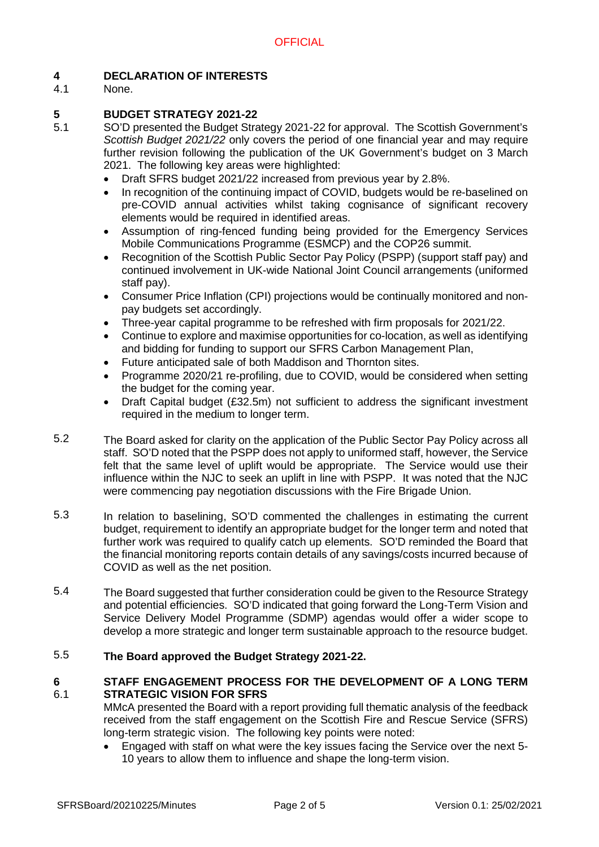#### **4 DECLARATION OF INTERESTS**

4.1 None.

#### **5 BUDGET STRATEGY 2021-22**

- 5.1 SO'D presented the Budget Strategy 2021-22 for approval. The Scottish Government's *Scottish Budget 2021/22* only covers the period of one financial year and may require further revision following the publication of the UK Government's budget on 3 March 2021. The following key areas were highlighted:
	- Draft SFRS budget 2021/22 increased from previous year by 2.8%.
	- In recognition of the continuing impact of COVID, budgets would be re-baselined on pre-COVID annual activities whilst taking cognisance of significant recovery elements would be required in identified areas.
	- Assumption of ring-fenced funding being provided for the Emergency Services Mobile Communications Programme (ESMCP) and the COP26 summit.
	- Recognition of the Scottish Public Sector Pay Policy (PSPP) (support staff pay) and continued involvement in UK-wide National Joint Council arrangements (uniformed staff pay).
	- Consumer Price Inflation (CPI) projections would be continually monitored and nonpay budgets set accordingly.
	- Three-year capital programme to be refreshed with firm proposals for 2021/22.
	- Continue to explore and maximise opportunities for co-location, as well as identifying and bidding for funding to support our SFRS Carbon Management Plan,
	- Future anticipated sale of both Maddison and Thornton sites.
	- Programme 2020/21 re-profiling, due to COVID, would be considered when setting the budget for the coming year.
	- Draft Capital budget (£32.5m) not sufficient to address the significant investment required in the medium to longer term.
- 5.2 The Board asked for clarity on the application of the Public Sector Pay Policy across all staff. SO'D noted that the PSPP does not apply to uniformed staff, however, the Service felt that the same level of uplift would be appropriate. The Service would use their influence within the NJC to seek an uplift in line with PSPP. It was noted that the NJC were commencing pay negotiation discussions with the Fire Brigade Union.
- 5.3 In relation to baselining, SO'D commented the challenges in estimating the current budget, requirement to identify an appropriate budget for the longer term and noted that further work was required to qualify catch up elements. SO'D reminded the Board that the financial monitoring reports contain details of any savings/costs incurred because of COVID as well as the net position.
- 5.4 The Board suggested that further consideration could be given to the Resource Strategy and potential efficiencies. SO'D indicated that going forward the Long-Term Vision and Service Delivery Model Programme (SDMP) agendas would offer a wider scope to develop a more strategic and longer term sustainable approach to the resource budget.

#### 5.5 **The Board approved the Budget Strategy 2021-22.**

#### **6** 6.1 **STAFF ENGAGEMENT PROCESS FOR THE DEVELOPMENT OF A LONG TERM STRATEGIC VISION FOR SFRS**

MMcA presented the Board with a report providing full thematic analysis of the feedback received from the staff engagement on the Scottish Fire and Rescue Service (SFRS) long-term strategic vision. The following key points were noted:

 Engaged with staff on what were the key issues facing the Service over the next 5- 10 years to allow them to influence and shape the long-term vision.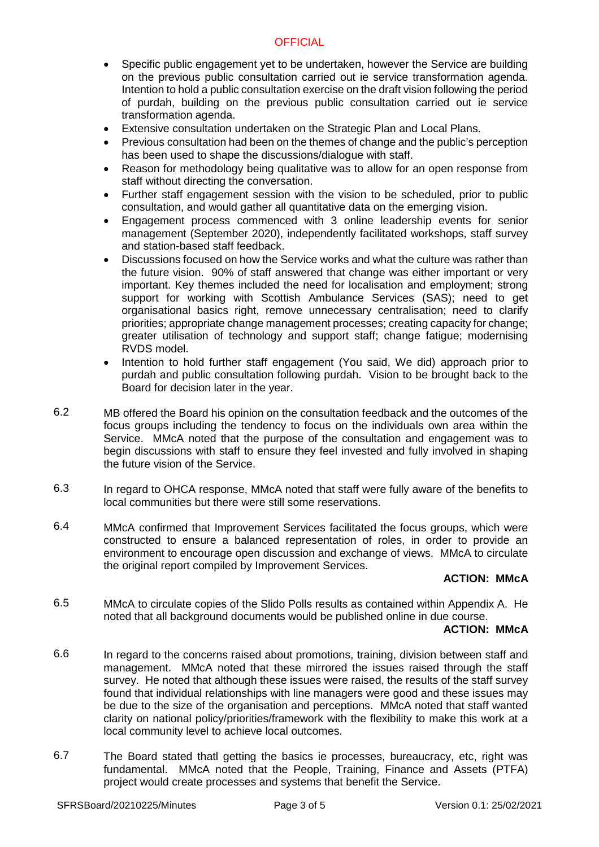## **OFFICIAL**

- Specific public engagement yet to be undertaken, however the Service are building on the previous public consultation carried out ie service transformation agenda. Intention to hold a public consultation exercise on the draft vision following the period of purdah, building on the previous public consultation carried out ie service transformation agenda.
- Extensive consultation undertaken on the Strategic Plan and Local Plans.
- Previous consultation had been on the themes of change and the public's perception has been used to shape the discussions/dialogue with staff.
- Reason for methodology being qualitative was to allow for an open response from staff without directing the conversation.
- Further staff engagement session with the vision to be scheduled, prior to public consultation, and would gather all quantitative data on the emerging vision.
- Engagement process commenced with 3 online leadership events for senior management (September 2020), independently facilitated workshops, staff survey and station-based staff feedback.
- Discussions focused on how the Service works and what the culture was rather than the future vision. 90% of staff answered that change was either important or very important. Key themes included the need for localisation and employment; strong support for working with Scottish Ambulance Services (SAS); need to get organisational basics right, remove unnecessary centralisation; need to clarify priorities; appropriate change management processes; creating capacity for change; greater utilisation of technology and support staff; change fatigue; modernising RVDS model.
- Intention to hold further staff engagement (You said, We did) approach prior to purdah and public consultation following purdah. Vision to be brought back to the Board for decision later in the year.
- 6.2 MB offered the Board his opinion on the consultation feedback and the outcomes of the focus groups including the tendency to focus on the individuals own area within the Service. MMcA noted that the purpose of the consultation and engagement was to begin discussions with staff to ensure they feel invested and fully involved in shaping the future vision of the Service.
- 6.3 In regard to OHCA response, MMcA noted that staff were fully aware of the benefits to local communities but there were still some reservations.
- 6.4 MMcA confirmed that Improvement Services facilitated the focus groups, which were constructed to ensure a balanced representation of roles, in order to provide an environment to encourage open discussion and exchange of views. MMcA to circulate the original report compiled by Improvement Services.

## **ACTION: MMcA**

6.5 MMcA to circulate copies of the Slido Polls results as contained within Appendix A. He noted that all background documents would be published online in due course.

### **ACTION: MMcA**

- 6.6 In regard to the concerns raised about promotions, training, division between staff and management. MMcA noted that these mirrored the issues raised through the staff survey. He noted that although these issues were raised, the results of the staff survey found that individual relationships with line managers were good and these issues may be due to the size of the organisation and perceptions. MMcA noted that staff wanted clarity on national policy/priorities/framework with the flexibility to make this work at a local community level to achieve local outcomes.
- 6.7 The Board stated thatl getting the basics ie processes, bureaucracy, etc, right was fundamental. MMcA noted that the People, Training, Finance and Assets (PTFA) project would create processes and systems that benefit the Service.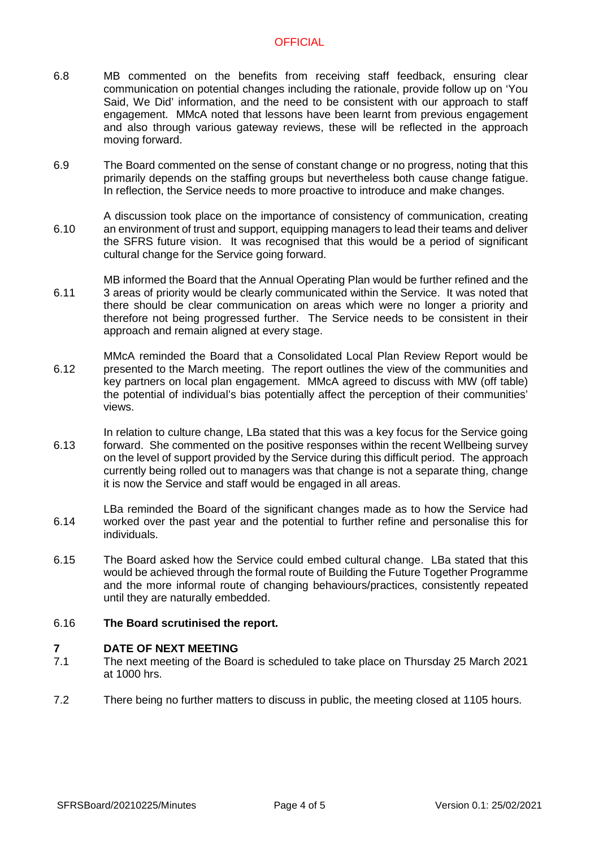## **OFFICIAL**

- 6.8 MB commented on the benefits from receiving staff feedback, ensuring clear communication on potential changes including the rationale, provide follow up on 'You Said, We Did' information, and the need to be consistent with our approach to staff engagement. MMcA noted that lessons have been learnt from previous engagement and also through various gateway reviews, these will be reflected in the approach moving forward.
- 6.9 The Board commented on the sense of constant change or no progress, noting that this primarily depends on the staffing groups but nevertheless both cause change fatigue. In reflection, the Service needs to more proactive to introduce and make changes.
- 6.10 A discussion took place on the importance of consistency of communication, creating an environment of trust and support, equipping managers to lead their teams and deliver the SFRS future vision. It was recognised that this would be a period of significant cultural change for the Service going forward.
- 6.11 MB informed the Board that the Annual Operating Plan would be further refined and the 3 areas of priority would be clearly communicated within the Service. It was noted that there should be clear communication on areas which were no longer a priority and therefore not being progressed further. The Service needs to be consistent in their approach and remain aligned at every stage.
- 6.12 MMcA reminded the Board that a Consolidated Local Plan Review Report would be presented to the March meeting. The report outlines the view of the communities and key partners on local plan engagement. MMcA agreed to discuss with MW (off table) the potential of individual's bias potentially affect the perception of their communities' views.
- 6.13 In relation to culture change, LBa stated that this was a key focus for the Service going forward. She commented on the positive responses within the recent Wellbeing survey on the level of support provided by the Service during this difficult period. The approach currently being rolled out to managers was that change is not a separate thing, change it is now the Service and staff would be engaged in all areas.
- 6.14 LBa reminded the Board of the significant changes made as to how the Service had worked over the past year and the potential to further refine and personalise this for individuals.
- 6.15 The Board asked how the Service could embed cultural change. LBa stated that this would be achieved through the formal route of Building the Future Together Programme and the more informal route of changing behaviours/practices, consistently repeated until they are naturally embedded.

#### 6.16 **The Board scrutinised the report.**

### **7 DATE OF NEXT MEETING**

- 7.1 The next meeting of the Board is scheduled to take place on Thursday 25 March 2021 at 1000 hrs.
- 7.2 There being no further matters to discuss in public, the meeting closed at 1105 hours.